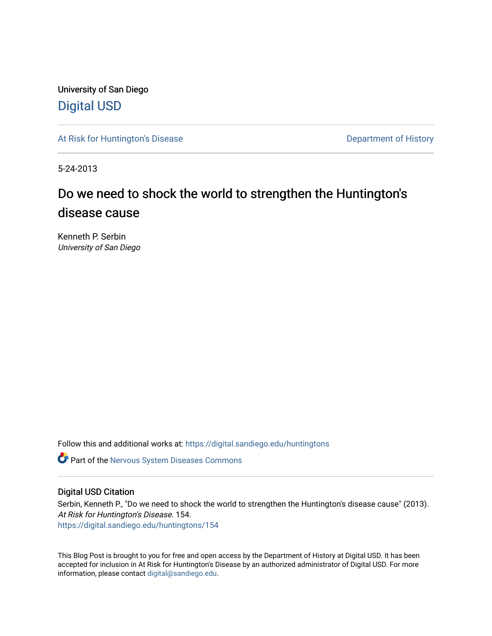University of San Diego [Digital USD](https://digital.sandiego.edu/)

[At Risk for Huntington's Disease](https://digital.sandiego.edu/huntingtons) **Department of History** Department of History

5-24-2013

# Do we need to shock the world to strengthen the Huntington's disease cause

Kenneth P. Serbin University of San Diego

Follow this and additional works at: [https://digital.sandiego.edu/huntingtons](https://digital.sandiego.edu/huntingtons?utm_source=digital.sandiego.edu%2Fhuntingtons%2F154&utm_medium=PDF&utm_campaign=PDFCoverPages)

**C** Part of the [Nervous System Diseases Commons](http://network.bepress.com/hgg/discipline/928?utm_source=digital.sandiego.edu%2Fhuntingtons%2F154&utm_medium=PDF&utm_campaign=PDFCoverPages)

## Digital USD Citation

Serbin, Kenneth P., "Do we need to shock the world to strengthen the Huntington's disease cause" (2013). At Risk for Huntington's Disease. 154. [https://digital.sandiego.edu/huntingtons/154](https://digital.sandiego.edu/huntingtons/154?utm_source=digital.sandiego.edu%2Fhuntingtons%2F154&utm_medium=PDF&utm_campaign=PDFCoverPages)

This Blog Post is brought to you for free and open access by the Department of History at Digital USD. It has been accepted for inclusion in At Risk for Huntington's Disease by an authorized administrator of Digital USD. For more information, please contact [digital@sandiego.edu.](mailto:digital@sandiego.edu)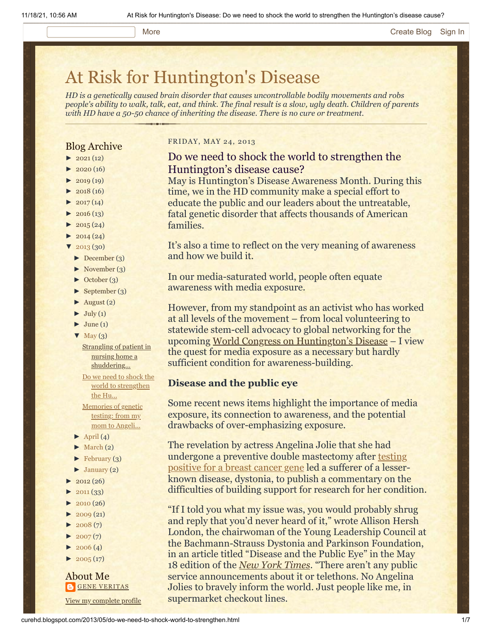#### More **[Create Blog](https://www.blogger.com/home#create) [Sign In](https://www.blogger.com/)**

# [At Risk for Huntington's Disease](http://curehd.blogspot.com/)

*HD is a genetically caused brain disorder that causes uncontrollable bodily movements and robs people's ability to walk, talk, eat, and think. The final result is a slow, ugly death. Children of parents with HD have a 50-50 chance of inheriting the disease. There is no cure or treatment.*

### Blog Archive

- $\blacktriangleright$  [2021](http://curehd.blogspot.com/2021/) (12)
- $\blacktriangleright$  [2020](http://curehd.blogspot.com/2020/) (16)
- $\blacktriangleright$  [2019](http://curehd.blogspot.com/2019/) (19)
- $\blacktriangleright$  [2018](http://curehd.blogspot.com/2018/) (16)
- $2017(14)$  $2017(14)$
- $2016(13)$  $2016(13)$
- $\blacktriangleright$  [2015](http://curehd.blogspot.com/2015/) (24)
- $-2014(24)$  $-2014(24)$  $-2014(24)$
- $'$  [2013](http://curehd.blogspot.com/2013/) (30)
- [►](javascript:void(0)) [December](http://curehd.blogspot.com/2013/12/) (3)
- [►](javascript:void(0)) [November](http://curehd.blogspot.com/2013/11/) (3)
- [►](javascript:void(0)) [October](http://curehd.blogspot.com/2013/10/) (3)
- [►](javascript:void(0)) [September](http://curehd.blogspot.com/2013/09/) (3)
- $\blacktriangleright$  [August](http://curehd.blogspot.com/2013/08/) (2)
- $\blacktriangleright$  [July](http://curehd.blogspot.com/2013/07/) (1)
- $\blacktriangleright$  [June](http://curehd.blogspot.com/2013/06/) (1)
- $\nabla$  [May](http://curehd.blogspot.com/2013/05/)  $(3)$ 
	- **Strangling of patient in** nursing home a [shuddering...](http://curehd.blogspot.com/2013/05/strangling-of-patient-in-nursing-home.html)
	- Do we need to shock the world to [strengthen](http://curehd.blogspot.com/2013/05/do-we-need-to-shock-world-to-strengthen.html) the Hu... [Memories](http://curehd.blogspot.com/2013/05/memories-of-genetic-testing-from-my-mom.html) of genetic testing: from my
- mom to Angeli...  $\blacktriangleright$  [April](http://curehd.blogspot.com/2013/04/) (4)
- $\blacktriangleright$  [March](http://curehd.blogspot.com/2013/03/) (2)
- 
- $\blacktriangleright$  [February](http://curehd.blogspot.com/2013/02/) (3)  $\blacktriangleright$  [January](http://curehd.blogspot.com/2013/01/) (2)
- $\blacktriangleright$  [2012](http://curehd.blogspot.com/2012/) (26)
- $2011(33)$  $2011(33)$
- 
- $2010(26)$  $2010(26)$
- $2009(21)$  $2009(21)$
- $2008(7)$  $2008(7)$
- $2007(7)$  $2007(7)$  $\blacktriangleright$  [2006](http://curehd.blogspot.com/2006/) (4)
- 
- $\blacktriangleright$  [2005](http://curehd.blogspot.com/2005/) (17)

# About Me **GENE [VERITAS](https://www.blogger.com/profile/10911736205741688185)**

View my [complete](https://www.blogger.com/profile/10911736205741688185) profile

#### FRIDAY, MAY 24, 2013

## Do we need to shock the world to strengthen the Huntington's disease cause?

May is Huntington's Disease Awareness Month. During this time, we in the HD community make a special effort to educate the public and our leaders about the untreatable, fatal genetic disorder that affects thousands of American families.

It's also a time to reflect on the very meaning of awareness and how we build it.

In our media-saturated world, people often equate awareness with media exposure.

However, from my standpoint as an activist who has worked at all levels of the movement – from local volunteering to statewide stem-cell advocacy to global networking for the upcoming [World Congress on Huntington's Disease](http://www.wchd2013.com/) – I view the quest for media exposure as a necessary but hardly sufficient condition for awareness-building.

## **Disease and the public eye**

Some recent news items highlight the importance of media exposure, its connection to awareness, and the potential drawbacks of over-emphasizing exposure.

The revelation by actress Angelina Jolie that she had [undergone a preventive double mastectomy after testing](http://curehd.blogspot.com/2013/05/memories-of-genetic-testing-from-my-mom.html) positive for a breast cancer gene led a sufferer of a lesserknown disease, dystonia, to publish a commentary on the difficulties of building support for research for her condition.

"If I told you what my issue was, you would probably shrug and reply that you'd never heard of it," wrote Allison Hersh London, the chairwoman of the Young Leadership Council at the Bachmann-Strauss Dystonia and Parkinson Foundation, in an article titled "Disease and the Public Eye" in the May 18 edition of the *[New York Times](http://www.nytimes.com/2013/05/19/opinion/sunday/disease-and-the-public-eye.html?pagewanted=all&_r=0)*. "There aren't any public service announcements about it or telethons. No Angelina Jolies to bravely inform the world. Just people like me, in supermarket checkout lines.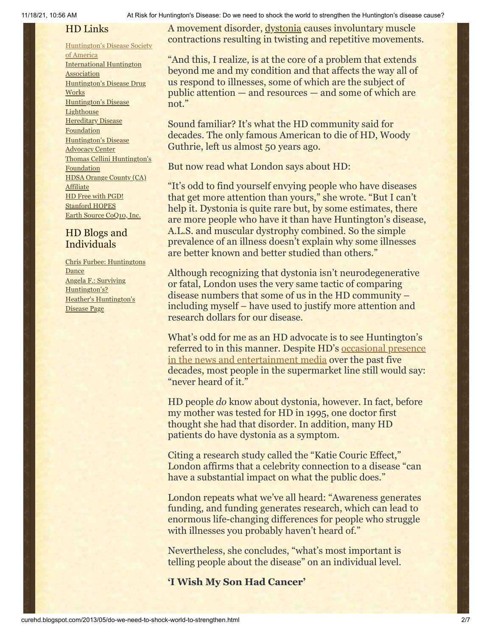# HD Links

### [Huntington's](http://www.hdsa.org/) Disease Society

of America [International](http://www.huntington-assoc.com/) Huntington Association [Huntington's](http://hddrugworks.org/) Disease Drug **Works** [Huntington's](http://www.hdlighthouse.org/) Disease **Lighthouse** Hereditary Disease **[Foundation](http://www.hdfoundation.org/)** [Huntington's](http://www.hdac.org/) Disease Advocacy Center Thomas [Cellini Huntington's](http://www.ourtchfoundation.org/) **Foundation** HDSA Orange County (CA) **[Affiliate](http://www.hdsaoc.org/)** HD Free with [PGD!](http://www.hdfreewithpgd.com/) [Stanford](http://www.stanford.edu/group/hopes/) HOPES Earth Source [CoQ10,](http://www.escoq10.com/) Inc.

## HD Blogs and Individuals

Chris Furbee: [Huntingtons](http://www.huntingtonsdance.org/) Dance Angela F.: Surviving [Huntington's?](http://survivinghuntingtons.blogspot.com/) Heather's [Huntington's](http://heatherdugdale.angelfire.com/) Disease Page

A movement disorder, [dystonia](http://www.nlm.nih.gov/medlineplus/dystonia.html) causes involuntary muscle contractions resulting in twisting and repetitive movements.

"And this, I realize, is at the core of a problem that extends beyond me and my condition and that affects the way all of us respond to illnesses, some of which are the subject of public attention — and resources — and some of which are not."

Sound familiar? It's what the HD community said for decades. The only famous American to die of HD, Woody Guthrie, left us almost 50 years ago.

But now read what London says about HD:

"It's odd to find yourself envying people who have diseases that get more attention than yours," she wrote. "But I can't help it. Dystonia is quite rare but, by some estimates, there are more people who have it than have Huntington's disease, A.L.S. and muscular dystrophy combined. So the simple prevalence of an illness doesn't explain why some illnesses are better known and better studied than others."

Although recognizing that dystonia isn't neurodegenerative or fatal, London uses the very same tactic of comparing disease numbers that some of us in the HD community – including myself – have used to justify more attention and research dollars for our disease.

What's odd for me as an HD advocate is to see Huntington's [referred to in this manner. Despite HD's occasional presence](http://curehd.blogspot.com/2011/10/huntingtons-disease-in-news-and.html) in the news and entertainment media over the past five decades, most people in the supermarket line still would say: "never heard of it."

HD people *do* know about dystonia, however. In fact, before my mother was tested for HD in 1995, one doctor first thought she had that disorder. In addition, many HD patients do have dystonia as a symptom.

Citing a research study called the "Katie Couric Effect," London affirms that a celebrity connection to a disease "can have a substantial impact on what the public does."

London repeats what we've all heard: "Awareness generates funding, and funding generates research, which can lead to enormous life-changing differences for people who struggle with illnesses you probably haven't heard of."

Nevertheless, she concludes, "what's most important is telling people about the disease" on an individual level.

**'I Wish My Son Had Cancer'**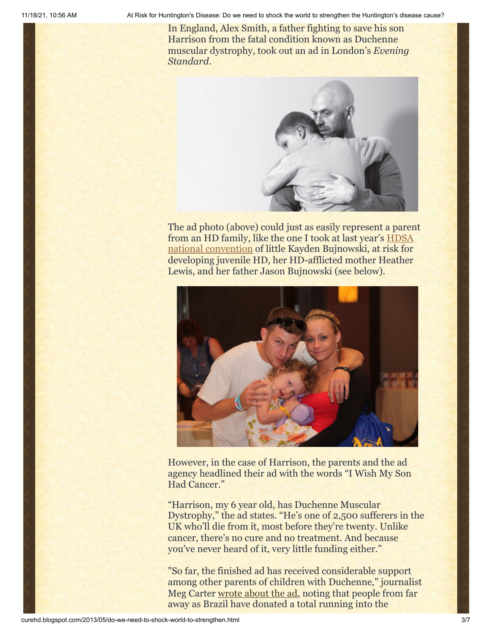In England, Alex Smith, a father fighting to save his son Harrison from the fatal condition known as Duchenne muscular dystrophy, took out an ad in London's *Evening Standard*.



The ad photo (above) could just as easily represent a parent [from an HD family, like the one I took at last year's HDSA](http://curehd.blogspot.com/2012/06/wholehearted-embrace-my-first-hdsa.html) national convention of little Kayden Bujnowski, at risk for developing juvenile HD, her HD-afflicted mother Heather Lewis, and her father Jason Bujnowski (see below).



However, in the case of Harrison, the parents and the ad agency headlined their ad with the words "I Wish My Son Had Cancer."

"Harrison, my 6 year old, has Duchenne Muscular Dystrophy," the ad states. "He's one of 2,500 sufferers in the UK who'll die from it, most before they're twenty. Unlike cancer, there's no cure and no treatment. And because you've never heard of it, very little funding either."

"So far, the finished ad has received considerable support among other parents of children with Duchenne," journalist Meg Carter [wrote about the ad](http://www.fastcocreate.com/1682960/is-i-wish-my-son-had-cancer-appropriate-ad-copy), noting that people from far away as Brazil have donated a total running into the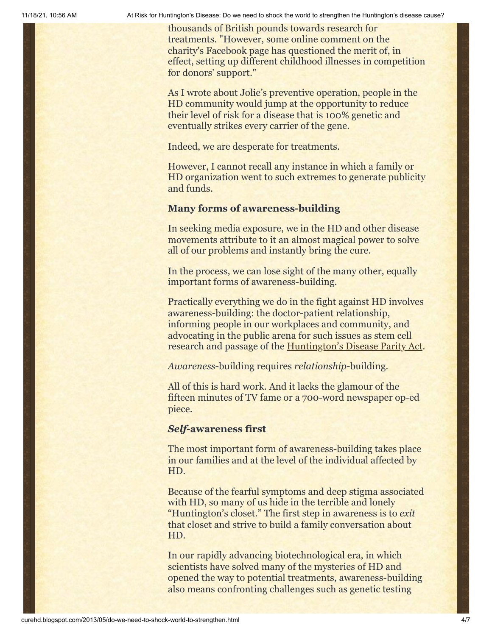thousands of British pounds towards research for treatments. "However, some online comment on the charity's Facebook page has questioned the merit of, in effect, setting up different childhood illnesses in competition for donors' support."

As I wrote about Jolie's preventive operation, people in the HD community would jump at the opportunity to reduce their level of risk for a disease that is 100% genetic and eventually strikes every carrier of the gene.

Indeed, we are desperate for treatments.

However, I cannot recall any instance in which a family or HD organization went to such extremes to generate publicity and funds.

## **Many forms of awareness-building**

In seeking media exposure, we in the HD and other disease movements attribute to it an almost magical power to solve all of our problems and instantly bring the cure.

In the process, we can lose sight of the many other, equally important forms of awareness-building.

Practically everything we do in the fight against HD involves awareness-building: the doctor-patient relationship, informing people in our workplaces and community, and advocating in the public arena for such issues as stem cell research and passage of the [Huntington's Disease Parity Act](http://www.hdsa.org/living-with-huntingtons/advocacy/index.html).

*Awareness*-building requires *relationship*-building.

All of this is hard work. And it lacks the glamour of the fifteen minutes of TV fame or a 700-word newspaper op-ed piece.

## *Self***-awareness first**

The most important form of awareness-building takes place in our families and at the level of the individual affected by HD.

Because of the fearful symptoms and deep stigma associated with HD, so many of us hide in the terrible and lonely "Huntington's closet." The first step in awareness is to *exit* that closet and strive to build a family conversation about HD.

In our rapidly advancing biotechnological era, in which scientists have solved many of the mysteries of HD and opened the way to potential treatments, awareness-building also means confronting challenges such as genetic testing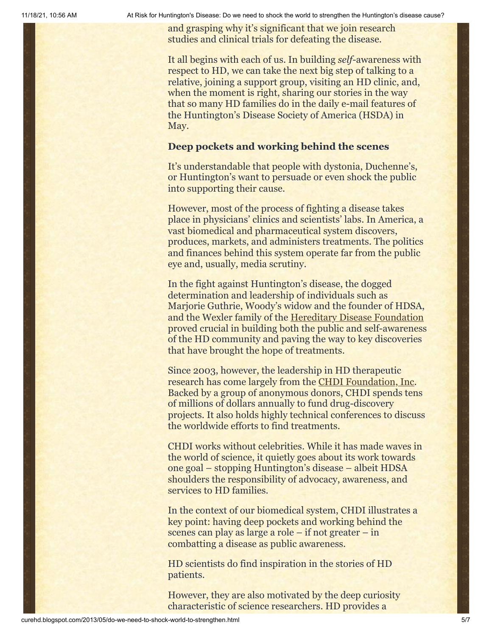and grasping why it's significant that we join research studies and clinical trials for defeating the disease.

It all begins with each of us. In building *self-*awareness with respect to HD, we can take the next big step of talking to a relative, joining a support group, visiting an HD clinic, and, when the moment is right, sharing our stories in the way that so many HD families do in the daily e-mail features of the Huntington's Disease Society of America (HSDA) in May.

## **Deep pockets and working behind the scenes**

It's understandable that people with dystonia, Duchenne's, or Huntington's want to persuade or even shock the public into supporting their cause.

However, most of the process of fighting a disease takes place in physicians' clinics and scientists' labs. In America, a vast biomedical and pharmaceutical system discovers, produces, markets, and administers treatments. The politics and finances behind this system operate far from the public eye and, usually, media scrutiny.

In the fight against Huntington's disease, the dogged determination and leadership of individuals such as Marjorie Guthrie, Woody's widow and the founder of HDSA, and the Wexler family of the [Hereditary Disease Foundation](http://www.hdfoundation.org/home.php) proved crucial in building both the public and self-awareness of the HD community and paving the way to key discoveries that have brought the hope of treatments.

Since 2003, however, the leadership in HD therapeutic research has come largely from the [CHDI Foundation, Inc.](http://chdifoundation.org/) Backed by a group of anonymous donors, CHDI spends tens of millions of dollars annually to fund drug-discovery projects. It also holds highly technical conferences to discuss the worldwide efforts to find treatments.

CHDI works without celebrities. While it has made waves in the world of science, it quietly goes about its work towards one goal – stopping Huntington's disease – albeit HDSA shoulders the responsibility of advocacy, awareness, and services to HD families.

In the context of our biomedical system, CHDI illustrates a key point: having deep pockets and working behind the scenes can play as large a role – if not greater – in combatting a disease as public awareness.

HD scientists do find inspiration in the stories of HD patients.

However, they are also motivated by the deep curiosity characteristic of science researchers. HD provides a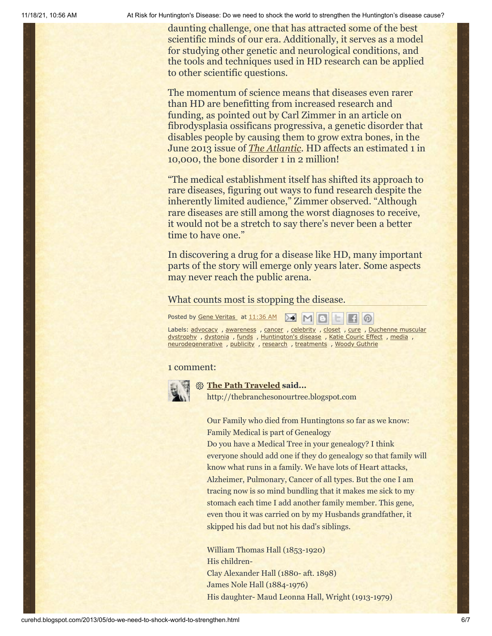daunting challenge, one that has attracted some of the best scientific minds of our era. Additionally, it serves as a model for studying other genetic and neurological conditions, and the tools and techniques used in HD research can be applied to other scientific questions.

The momentum of science means that diseases even rarer than HD are benefitting from increased research and funding, as pointed out by Carl Zimmer in an article on fibrodysplasia ossificans progressiva, a genetic disorder that disables people by causing them to grow extra bones, in the June 2013 issue of *[The Atlantic](http://www.theatlantic.com/magazine/archive/2013/06/the-mystery-of-the-second-skeleton/309305/)*. HD affects an estimated 1 in 10,000, the bone disorder 1 in 2 million!

"The medical establishment itself has shifted its approach to rare diseases, figuring out ways to fund research despite the inherently limited audience," Zimmer observed. "Although rare diseases are still among the worst diagnoses to receive, it would not be a stretch to say there's never been a better time to have one."

In discovering a drug for a disease like HD, many important parts of the story will emerge only years later. Some aspects may never reach the public arena.

### What counts most is stopping the disease.

Posted by Gene [Veritas](https://www.blogger.com/profile/03599828959793084715)\_ at [11:36](http://curehd.blogspot.com/2013/05/do-we-need-to-shock-world-to-strengthen.html) AM A M B C F G

Labels: [advocacy](http://curehd.blogspot.com/search/label/advocacy), [awareness](http://curehd.blogspot.com/search/label/awareness), [cancer](http://curehd.blogspot.com/search/label/cancer), [celebrity](http://curehd.blogspot.com/search/label/celebrity), [closet](http://curehd.blogspot.com/search/label/closet), [cure](http://curehd.blogspot.com/search/label/cure), Duchenne muscular dystrophy , [dystonia](http://curehd.blogspot.com/search/label/dystonia) , [funds](http://curehd.blogspot.com/search/label/funds) , [Huntington's](http://curehd.blogspot.com/search/label/Duchenne%20muscular%20dystrophy) disease , Katie [Couric](http://curehd.blogspot.com/search/label/Katie%20Couric%20Effect) Effect , [media](http://curehd.blogspot.com/search/label/media) , [neurodegenerative](http://curehd.blogspot.com/search/label/neurodegenerative) , [publicity](http://curehd.blogspot.com/search/label/publicity) , [research](http://curehd.blogspot.com/search/label/research) , [treatments](http://curehd.blogspot.com/search/label/treatments) , Woody [Guthrie](http://curehd.blogspot.com/search/label/Woody%20Guthrie)

#### 1 comment:



#### **[The Path Traveled](https://www.blogger.com/profile/17931107657755324419) said...**

http://thebranchesonourtree.blogspot.com

Our Family who died from Huntingtons so far as we know: Family Medical is part of Genealogy

Do you have a Medical Tree in your genealogy? I think everyone should add one if they do genealogy so that family will know what runs in a family. We have lots of Heart attacks, Alzheimer, Pulmonary, Cancer of all types. But the one I am tracing now is so mind bundling that it makes me sick to my stomach each time I add another family member. This gene, even thou it was carried on by my Husbands grandfather, it skipped his dad but not his dad's siblings.

William Thomas Hall (1853-1920) His children-Clay Alexander Hall (1880- aft. 1898) James Nole Hall (1884-1976) His daughter- Maud Leonna Hall, Wright (1913-1979)